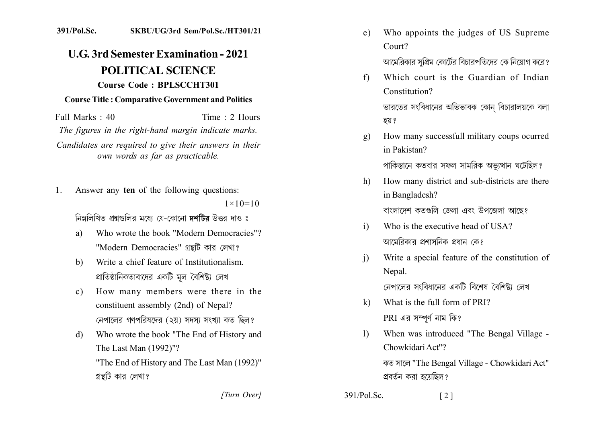## 391/Pol.Sc. SKBU/UG/3rd Sem/Pol.Sc./HT301/21

## **U.G. 3rd Semester Examination - 2021 POLITICAL SCIENCE** Course Code: BPLSCCHT301

## **Course Title: Comparative Government and Politics**

Full Marks  $\cdot$  40 Time : 2 Hours The figures in the right-hand margin indicate marks. Candidates are required to give their answers in their own words as far as practicable.

Answer any ten of the following questions:  $1_{-}$  $1 \times 10 = 10$ 

নিম্নলিখিত প্রশ্নগুলির মধ্যে যে-কোনো দশটির উত্তর দাও ঃ

- Who wrote the book "Modern Democracies"? a) "Modern Democracies" গ্রন্থটি কার লেখা?
- Write a chief feature of Institutionalism.  $h)$ প্রাতিষ্ঠানিকতাবাদের একটি মূল বৈশিষ্ট্য লেখ।
- How many members were there in the  $c)$ constituent assembly (2nd) of Nepal? নেপালের গণপরিষদের (২য়) সদস্য সংখ্যা কত ছিল?
- Who wrote the book "The End of History and d) The Last Man (1992)"? "The End of History and The Last Man (1992)" গ্রন্থটি কার লেখা?
- Who appoints the judges of US Supreme  $e)$ Court? আমেরিকার সপ্রিম কোর্টের বিচারপতিদের কে নিয়োগ করে?
- Which court is the Guardian of Indian  $f$ Constitution?

ভারতের সংবিধানের অভিভাবক কোন বিচারালয়কে বলা হয় ?

How many successfull military coups ocurred  $g)$ in Pakistan?

পাকিস্তানে কতবার সফল সামরিক অভ্যুত্থান ঘটেছিল?

- How many district and sub-districts are there  $h$ ) in Bangladesh? বাংলাদেশ কতগুলি জেলা এবং উপজেলা আছে?
- Who is the executive head of USA?  $\mathbf{i}$ আমেরিকার প্রশাসনিক প্রধান কে?
- Write a special feature of the constitution of  $\mathbf{i}$ Nepal.

নেপালের সংবিধানের একটি বিশেষ বৈশিষ্ট্য লেখ।

- What is the full form of PRI?  $\bf{k}$ )  $PRI$  এর সম্পূর্ণ নাম কি?
- When was introduced "The Bengal Village - $\left| \right|$ Chowkidari Act"?

কত সালে "The Bengal Village - Chowkidari Act" প্রবর্তন করা হয়েছিল?

[Turn Over]

 $391/P<sub>ol</sub>$  Sc  $\lceil 2 \rceil$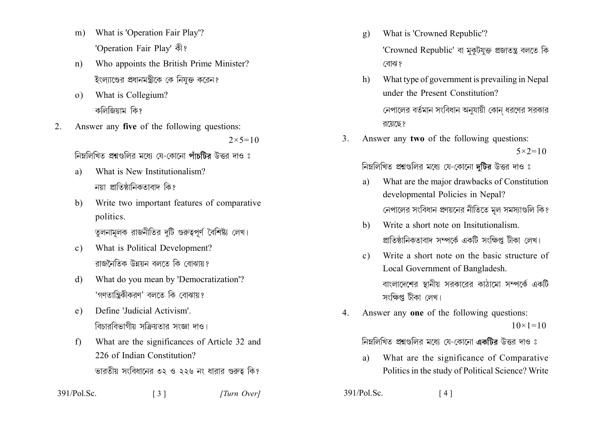- What is 'Operation Fair Play'?  $m)$ 'Operation Fair Play' कौ?
- Who appoints the British Prime Minister?  $n)$ ইংল্যাণ্ডের প্রধানমন্ত্রীকে কে নিযুক্ত করেন?
- What is Collegium?  $\Omega$ কলিজিয়াম কি?
- 2. Answer any five of the following questions:  $2 \times 5 = 10$

নিম্নলিখিত প্ৰশ্নগুলির মধ্যে যে-কোনো পাঁচটিব উত্তর দাও ঃ

- What is New Institutionalism? a) নয়া প্রাতিষ্ঠানিকতাবাদ কিং
- $b)$ Write two important features of comparative politics. তুলনামলক রাজনীতির দটি গুরুত্বপূর্ণ বৈশিষ্ট্য লেখ।
- What is Political Development?  $c)$ রাজনৈতিক উন্নয়ন বলতে কি বোঝায়?
- What do you mean by 'Democratization'?  $\mathbf{d}$ 'গণতান্ত্রিকীকরণ' বলতে কি বোঝায়?
- Define 'Judicial Activism'  $e)$ বিচাববিভাগীয় সক্ৰিয়তার সংজ্ঞা দাও।
- What are the significances of Article 32 and  $f$ 226 of Indian Constitution? ভারতীয় সংবিধানের ৩২ ও ২২৬ নং ধারার গুরুত্ব কি?

- What is 'Crowned Republic'?  $g)$ 'Crowned Republic' বা মুকুটযুক্ত প্ৰজাতন্ত্ৰ বলতে কি বোঝ?
- What type of government is prevailing in Nepal  $h$ under the Present Constitution? নেপালের বর্তমান সংবিধান অনযায়ী কোন ধরণের সরকার রয়েছে?
- Answer any two of the following questions:  $3<sub>1</sub>$  $5 \times 2 = 10$

নিম্নলিখিত প্রশ্নগুলির মধ্যে যে-কোনো দুটির উত্তর দাও ঃ

- What are the major drawbacks of Constitution a) developmental Policies in Nepal? নেপালের সংবিধান প্রণয়নের নীতিতে মূল সমস্যাগুলি কি?
- Write a short note on Insitutionalism. b) প্রাতিষ্ঠানিকতাবাদ সম্পর্কে একটি সংক্ষিপ্ত টীকা লেখ।
- Write a short note on the basic structure of  $\mathbf{c}$ ) Local Government of Bangladesh. বাংলাদেশের স্থানীয় সরকারের কাঠামো সম্পর্কে একটি সংক্ষিপ্ত টীকা লেখ।
- Answer any one of the following questions:  $\overline{4}$  $10 \times 1 = 10$

নিম্নলিখিত প্রশ্নগুলির মধ্যে যে-কোনো একটির উত্তর দাও ঃ

- What are the significance of Comparative a) Politics in the study of Political Science? Write
- $391/P<sub>o</sub>l$ . Sc.  $\lceil 4 \rceil$